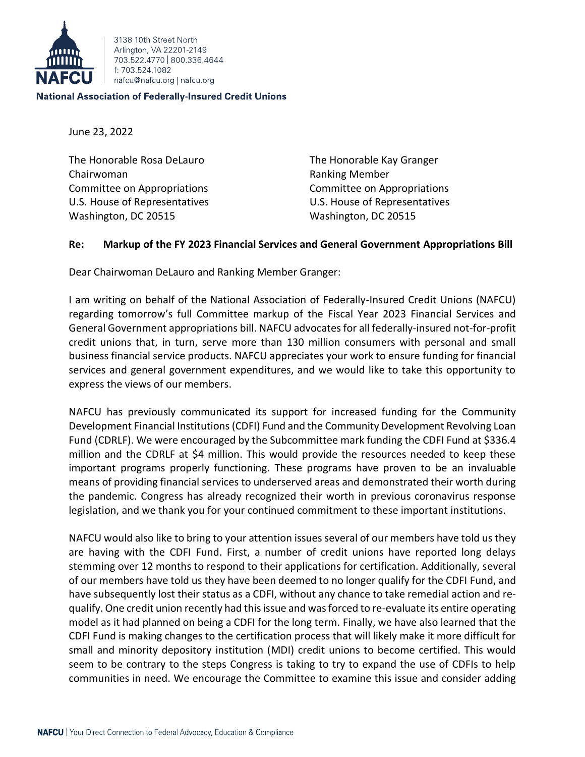

3138 10th Street North Arlington, VA 22201-2149 703 522 4770 800 336 4644 f: 703.524.1082 nafcu@nafcu.org | nafcu.org

## **National Association of Federally-Insured Credit Unions**

June 23, 2022

The Honorable Rosa DeLauro The Honorable Kay Granger Chairwoman **Ranking Member** Ranking Member Committee on Appropriations Committee on Appropriations U.S. House of Representatives U.S. House of Representatives Washington, DC 20515 Washington, DC 20515

## **Re: Markup of the FY 2023 Financial Services and General Government Appropriations Bill**

Dear Chairwoman DeLauro and Ranking Member Granger:

I am writing on behalf of the National Association of Federally-Insured Credit Unions (NAFCU) regarding tomorrow's full Committee markup of the Fiscal Year 2023 Financial Services and General Government appropriations bill. NAFCU advocates for all federally-insured not-for-profit credit unions that, in turn, serve more than 130 million consumers with personal and small business financial service products. NAFCU appreciates your work to ensure funding for financial services and general government expenditures, and we would like to take this opportunity to express the views of our members.

NAFCU has previously communicated its support for increased funding for the Community Development Financial Institutions (CDFI) Fund and the Community Development Revolving Loan Fund (CDRLF). We were encouraged by the Subcommittee mark funding the CDFI Fund at \$336.4 million and the CDRLF at \$4 million. This would provide the resources needed to keep these important programs properly functioning. These programs have proven to be an invaluable means of providing financial services to underserved areas and demonstrated their worth during the pandemic. Congress has already recognized their worth in previous coronavirus response legislation, and we thank you for your continued commitment to these important institutions.

NAFCU would also like to bring to your attention issues several of our members have told us they are having with the CDFI Fund. First, a number of credit unions have reported long delays stemming over 12 months to respond to their applications for certification. Additionally, several of our members have told us they have been deemed to no longer qualify for the CDFI Fund, and have subsequently lost their status as a CDFI, without any chance to take remedial action and requalify. One credit union recently had this issue and was forced to re-evaluate its entire operating model as it had planned on being a CDFI for the long term. Finally, we have also learned that the CDFI Fund is making changes to the certification process that will likely make it more difficult for small and minority depository institution (MDI) credit unions to become certified. This would seem to be contrary to the steps Congress is taking to try to expand the use of CDFIs to help communities in need. We encourage the Committee to examine this issue and consider adding